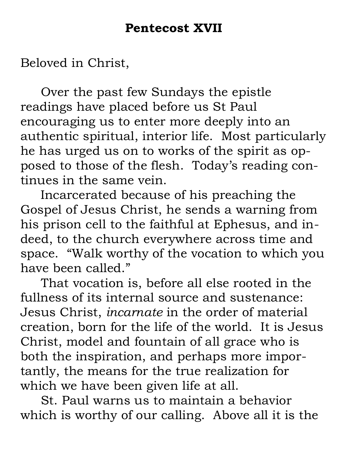Beloved in Christ,

Over the past few Sundays the epistle readings have placed before us St Paul encouraging us to enter more deeply into an authentic spiritual, interior life. Most particularly he has urged us on to works of the spirit as opposed to those of the flesh. Today's reading continues in the same vein.

 Incarcerated because of his preaching the Gospel of Jesus Christ, he sends a warning from his prison cell to the faithful at Ephesus, and indeed, to the church everywhere across time and space. "Walk worthy of the vocation to which you have been called."

That vocation is, before all else rooted in the fullness of its internal source and sustenance: Jesus Christ, *incarnate* in the order of material creation, born for the life of the world. It is Jesus Christ, model and fountain of all grace who is both the inspiration, and perhaps more importantly, the means for the true realization for which we have been given life at all.

St. Paul warns us to maintain a behavior which is worthy of our calling. Above all it is the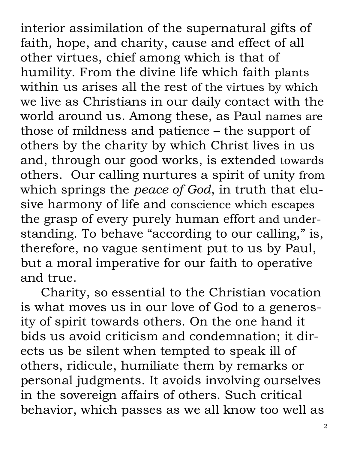interior assimilation of the supernatural gifts of faith, hope, and charity, cause and effect of all other virtues, chief among which is that of humility. From the divine life which faith plants within us arises all the rest of the virtues by which we live as Christians in our daily contact with the world around us. Among these, as Paul names are those of mildness and patience – the support of others by the charity by which Christ lives in us and, through our good works, is extended towards others. Our calling nurtures a spirit of unity from which springs the *peace of God*, in truth that elusive harmony of life and conscience which escapes the grasp of every purely human effort and understanding. To behave "according to our calling," is, therefore, no vague sentiment put to us by Paul, but a moral imperative for our faith to operative and true.

Charity, so essential to the Christian vocation is what moves us in our love of God to a generosity of spirit towards others. On the one hand it bids us avoid criticism and condemnation; it directs us be silent when tempted to speak ill of others, ridicule, humiliate them by remarks or personal judgments. It avoids involving ourselves in the sovereign affairs of others. Such critical behavior, which passes as we all know too well as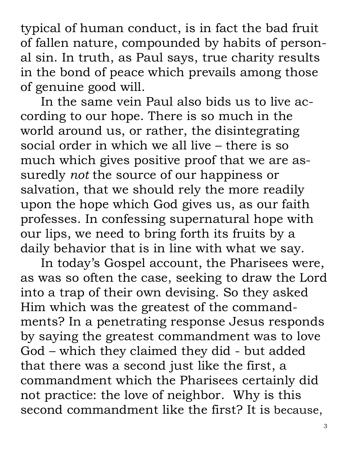typical of human conduct, is in fact the bad fruit of fallen nature, compounded by habits of personal sin. In truth, as Paul says, true charity results in the bond of peace which prevails among those of genuine good will.

In the same vein Paul also bids us to live according to our hope. There is so much in the world around us, or rather, the disintegrating social order in which we all live – there is so much which gives positive proof that we are assuredly *not* the source of our happiness or salvation, that we should rely the more readily upon the hope which God gives us, as our faith professes. In confessing supernatural hope with our lips, we need to bring forth its fruits by a daily behavior that is in line with what we say.

In today's Gospel account, the Pharisees were, as was so often the case, seeking to draw the Lord into a trap of their own devising. So they asked Him which was the greatest of the commandments? In a penetrating response Jesus responds by saying the greatest commandment was to love God – which they claimed they did - but added that there was a second just like the first, a commandment which the Pharisees certainly did not practice: the love of neighbor. Why is this second commandment like the first? It is because,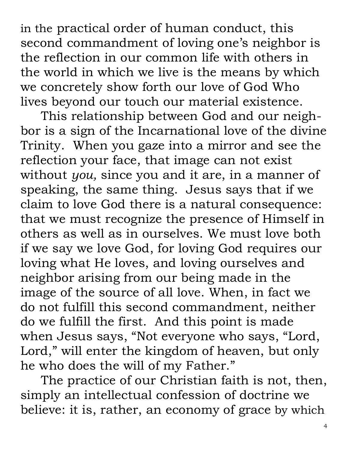in the practical order of human conduct, this second commandment of loving one's neighbor is the reflection in our common life with others in the world in which we live is the means by which we concretely show forth our love of God Who lives beyond our touch our material existence.

This relationship between God and our neighbor is a sign of the Incarnational love of the divine Trinity. When you gaze into a mirror and see the reflection your face, that image can not exist without *you,* since you and it are, in a manner of speaking, the same thing. Jesus says that if we claim to love God there is a natural consequence: that we must recognize the presence of Himself in others as well as in ourselves. We must love both if we say we love God, for loving God requires our loving what He loves, and loving ourselves and neighbor arising from our being made in the image of the source of all love. When, in fact we do not fulfill this second commandment, neither do we fulfill the first. And this point is made when Jesus says, "Not everyone who says, "Lord, Lord," will enter the kingdom of heaven, but only he who does the will of my Father."

The practice of our Christian faith is not, then, simply an intellectual confession of doctrine we believe: it is, rather, an economy of grace by which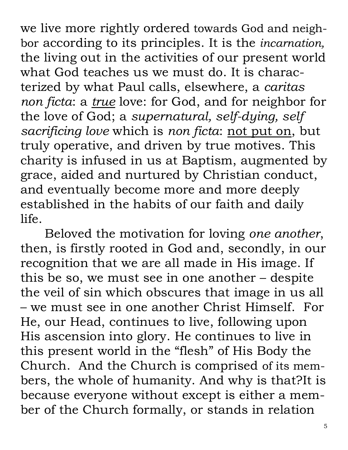we live more rightly ordered towards God and neighbor according to its principles. It is the *incarnation,* the living out in the activities of our present world what God teaches us we must do. It is characterized by what Paul calls, elsewhere, a *caritas non ficta*: a *true* love: for God, and for neighbor for the love of God; a *supernatural, self-dying, self sacrificing love* which is *non ficta*: not put on, but truly operative, and driven by true motives. This charity is infused in us at Baptism, augmented by grace, aided and nurtured by Christian conduct, and eventually become more and more deeply established in the habits of our faith and daily life.

Beloved the motivation for loving *one another*, then, is firstly rooted in God and, secondly, in our recognition that we are all made in His image. If this be so, we must see in one another – despite the veil of sin which obscures that image in us all – we must see in one another Christ Himself. For He, our Head, continues to live, following upon His ascension into glory. He continues to live in this present world in the "flesh" of His Body the Church. And the Church is comprised of its members, the whole of humanity. And why is that?It is because everyone without except is either a member of the Church formally, or stands in relation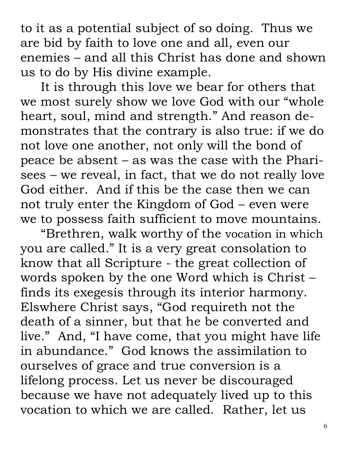to it as a potential subject of so doing. Thus we are bid by faith to love one and all, even our enemies – and all this Christ has done and shown us to do by His divine example.

It is through this love we bear for others that we most surely show we love God with our "whole heart, soul, mind and strength." And reason demonstrates that the contrary is also true: if we do not love one another, not only will the bond of peace be absent – as was the case with the Pharisees – we reveal, in fact, that we do not really love God either. And if this be the case then we can not truly enter the Kingdom of God – even were we to possess faith sufficient to move mountains.

"Brethren, walk worthy of the vocation in which you are called." It is a very great consolation to know that all Scripture - the great collection of words spoken by the one Word which is Christ – finds its exegesis through its interior harmony. Elswhere Christ says, "God requireth not the death of a sinner, but that he be converted and live." And, "I have come, that you might have life in abundance." God knows the assimilation to ourselves of grace and true conversion is a lifelong process. Let us never be discouraged because we have not adequately lived up to this vocation to which we are called. Rather, let us